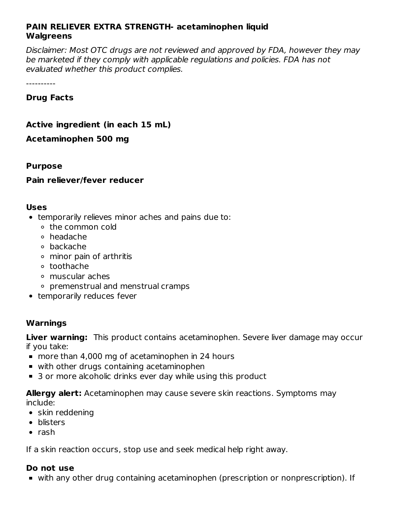#### **PAIN RELIEVER EXTRA STRENGTH- acetaminophen liquid Walgreens**

Disclaimer: Most OTC drugs are not reviewed and approved by FDA, however they may be marketed if they comply with applicable regulations and policies. FDA has not evaluated whether this product complies.

----------

**Drug Facts**

**Active ingredient (in each 15 mL)**

**Acetaminophen 500 mg**

#### **Purpose**

### **Pain reliever/fever reducer**

#### **Uses**

- temporarily relieves minor aches and pains due to:
	- the common cold
	- headache
	- backache
	- minor pain of arthritis
	- toothache
	- muscular aches
	- premenstrual and menstrual cramps
- temporarily reduces fever

### **Warnings**

**Liver warning:** This product contains acetaminophen. Severe liver damage may occur if you take:

- more than 4,000 mg of acetaminophen in 24 hours
- with other drugs containing acetaminophen
- 3 or more alcoholic drinks ever day while using this product

**Allergy alert:** Acetaminophen may cause severe skin reactions. Symptoms may include:

- skin reddening
- blisters
- $\bullet$  rash

If a skin reaction occurs, stop use and seek medical help right away.

### **Do not use**

with any other drug containing acetaminophen (prescription or nonprescription). If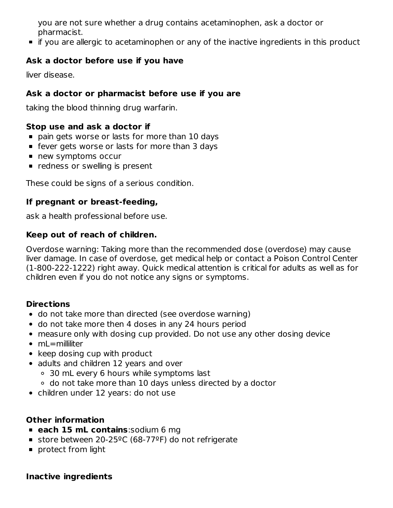you are not sure whether a drug contains acetaminophen, ask a doctor or pharmacist.

**If you are allergic to acetaminophen or any of the inactive ingredients in this product** 

### **Ask a doctor before use if you have**

liver disease.

## **Ask a doctor or pharmacist before use if you are**

taking the blood thinning drug warfarin.

### **Stop use and ask a doctor if**

- pain gets worse or lasts for more than 10 days
- **Figure 1** fever gets worse or lasts for more than 3 days
- new symptoms occur
- **•** redness or swelling is present

These could be signs of a serious condition.

### **If pregnant or breast-feeding,**

ask a health professional before use.

# **Keep out of reach of children.**

Overdose warning: Taking more than the recommended dose (overdose) may cause liver damage. In case of overdose, get medical help or contact a Poison Control Center (1-800-222-1222) right away. Quick medical attention is critical for adults as well as for children even if you do not notice any signs or symptoms.

# **Directions**

- do not take more than directed (see overdose warning)
- do not take more then 4 doses in any 24 hours period
- measure only with dosing cup provided. Do not use any other dosing device
- mL=milliliter
- $\bullet$  keep dosing cup with product
- adults and children 12 years and over
	- 30 mL every 6 hours while symptoms last
	- do not take more than 10 days unless directed by a doctor
- children under 12 years: do not use

# **Other information**

- **each 15 mL contains**:sodium 6 mg
- store between 20-25ºC (68-77ºF) do not refrigerate
- **protect from light**

### **Inactive ingredients**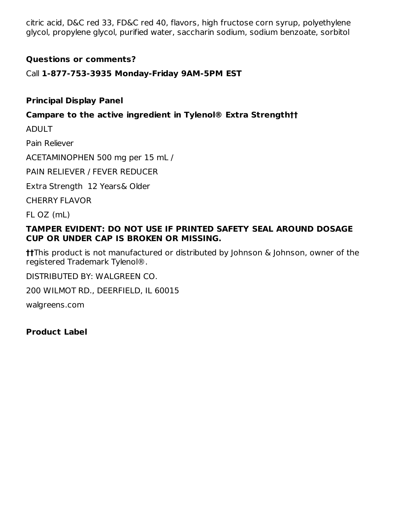citric acid, D&C red 33, FD&C red 40, flavors, high fructose corn syrup, polyethylene glycol, propylene glycol, purified water, saccharin sodium, sodium benzoate, sorbitol

### **Questions or comments?**

Call **1-877-753-3935 Monday-Friday 9AM-5PM EST**

### **Principal Display Panel**

### **Campare to the active ingredient in Tylenol® Extra Strength††**

ADULT

Pain Reliever

ACETAMINOPHEN 500 mg per 15 mL /

PAIN RELIEVER / FEVER REDUCER

Extra Strength 12 Years& Older

CHERRY FLAVOR

FL OZ (mL)

#### **TAMPER EVIDENT: DO NOT USE IF PRINTED SAFETY SEAL AROUND DOSAGE CUP OR UNDER CAP IS BROKEN OR MISSING.**

**††**This product is not manufactured or distributed by Johnson & Johnson, owner of the registered Trademark Tylenol®.

DISTRIBUTED BY: WALGREEN CO.

200 WILMOT RD., DEERFIELD, IL 60015

walgreens.com

**Product Label**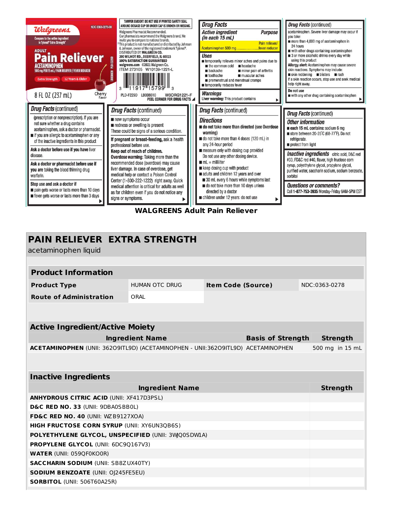

| <b>PAIN RELIEVER EXTRA STRENGTH</b><br>acetaminophen liquid                      |                 |                           |  |  |                 |  |  |  |  |
|----------------------------------------------------------------------------------|-----------------|---------------------------|--|--|-----------------|--|--|--|--|
|                                                                                  |                 |                           |  |  |                 |  |  |  |  |
| <b>Product Information</b>                                                       |                 |                           |  |  |                 |  |  |  |  |
| <b>Product Type</b>                                                              | HUMAN OTC DRUG  | <b>Item Code (Source)</b> |  |  | NDC:0363-0278   |  |  |  |  |
| <b>Route of Administration</b>                                                   | ORAL            |                           |  |  |                 |  |  |  |  |
|                                                                                  |                 |                           |  |  |                 |  |  |  |  |
|                                                                                  |                 |                           |  |  |                 |  |  |  |  |
| <b>Active Ingredient/Active Moiety</b>                                           |                 |                           |  |  |                 |  |  |  |  |
| <b>Ingredient Name</b><br><b>Basis of Strength</b>                               |                 |                           |  |  | <b>Strength</b> |  |  |  |  |
| ACETAMINOPHEN (UNII: 36209ITL9D) (ACETAMINOPHEN - UNII:36209ITL9D) ACETAMINOPHEN |                 |                           |  |  | 500 mg in 15 mL |  |  |  |  |
|                                                                                  |                 |                           |  |  |                 |  |  |  |  |
| <b>Inactive Ingredients</b>                                                      |                 |                           |  |  |                 |  |  |  |  |
|                                                                                  | <b>Strength</b> |                           |  |  |                 |  |  |  |  |
| <b>ANHYDROUS CITRIC ACID (UNII: XF417D3PSL)</b>                                  |                 |                           |  |  |                 |  |  |  |  |
| D&C RED NO. 33 (UNII: 9DBA0SBB0L)                                                |                 |                           |  |  |                 |  |  |  |  |
| FD&C RED NO. 40 (UNII: WZ B9127XOA)                                              |                 |                           |  |  |                 |  |  |  |  |
| <b>HIGH FRUCTOSE CORN SYRUP (UNII: XY6UN3QB6S)</b>                               |                 |                           |  |  |                 |  |  |  |  |
| POLYETHYLENE GLYCOL, UNSPECIFIED (UNII: 3WQ0SDWIA)                               |                 |                           |  |  |                 |  |  |  |  |
| PROPYLENE GLYCOL (UNII: 6DC9Q167V3)                                              |                 |                           |  |  |                 |  |  |  |  |
| <b>WATER (UNII: 059QF0KO0R)</b>                                                  |                 |                           |  |  |                 |  |  |  |  |
| <b>SACCHARIN SODIUM (UNII: SB8ZUX40TY)</b>                                       |                 |                           |  |  |                 |  |  |  |  |
| <b>SODIUM BENZOATE (UNII: O)245FE5EU)</b>                                        |                 |                           |  |  |                 |  |  |  |  |
| SORBITOL (UNII: 506T60A25R)                                                      |                 |                           |  |  |                 |  |  |  |  |